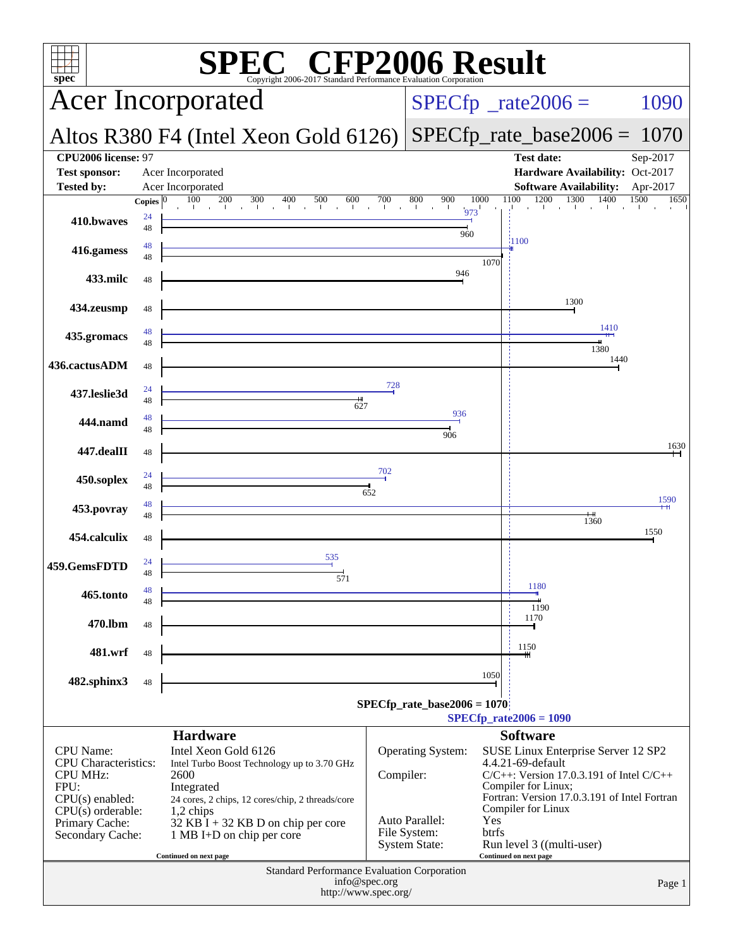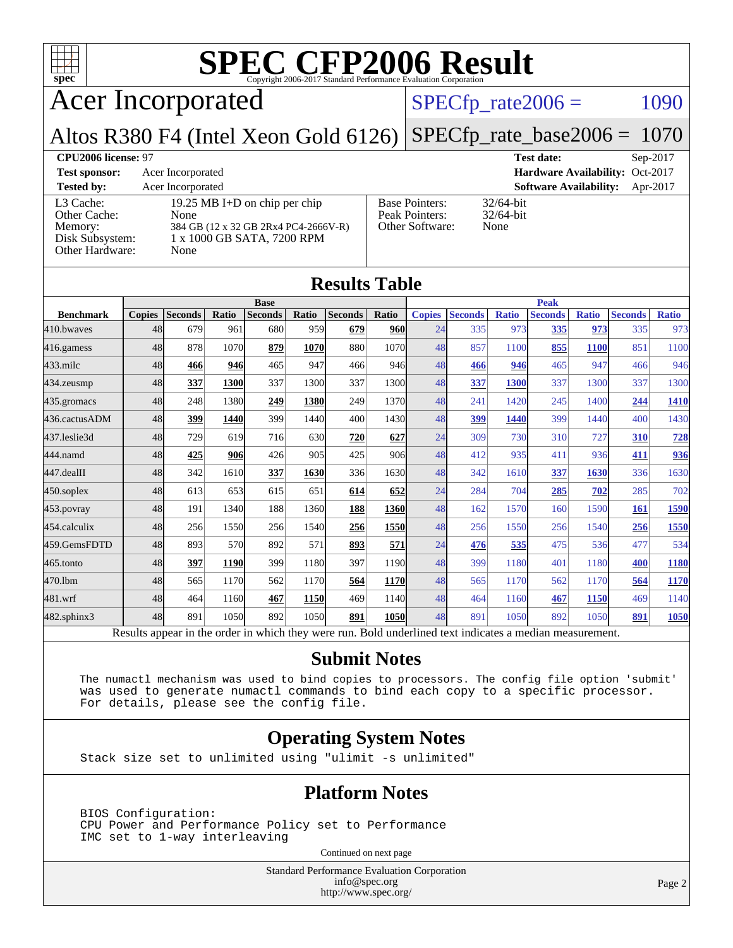

Acer Incorporated

### $SPECfp_rate2006 = 1090$  $SPECfp_rate2006 = 1090$

Altos R380 F4 (Intel Xeon Gold 6126) [SPECfp\\_rate\\_base2006 =](http://www.spec.org/auto/cpu2006/Docs/result-fields.html#SPECfpratebase2006) 1070

**[CPU2006 license:](http://www.spec.org/auto/cpu2006/Docs/result-fields.html#CPU2006license)** 97 **[Test date:](http://www.spec.org/auto/cpu2006/Docs/result-fields.html#Testdate)** Sep-2017 **[Test sponsor:](http://www.spec.org/auto/cpu2006/Docs/result-fields.html#Testsponsor)** Acer Incorporated **[Hardware Availability:](http://www.spec.org/auto/cpu2006/Docs/result-fields.html#HardwareAvailability)** Oct-2017 **[Tested by:](http://www.spec.org/auto/cpu2006/Docs/result-fields.html#Testedby)** Acer Incorporated **[Software Availability:](http://www.spec.org/auto/cpu2006/Docs/result-fields.html#SoftwareAvailability)** Apr-2017 [L3 Cache:](http://www.spec.org/auto/cpu2006/Docs/result-fields.html#L3Cache) 19.25 MB I+D on chip per chip<br>Other Cache: None [Other Cache:](http://www.spec.org/auto/cpu2006/Docs/result-fields.html#OtherCache) [Memory:](http://www.spec.org/auto/cpu2006/Docs/result-fields.html#Memory) 384 GB (12 x 32 GB 2Rx4 PC4-2666V-R) [Disk Subsystem:](http://www.spec.org/auto/cpu2006/Docs/result-fields.html#DiskSubsystem) 1 x 1000 GB SATA, 7200 RPM [Other Hardware:](http://www.spec.org/auto/cpu2006/Docs/result-fields.html#OtherHardware) None [Base Pointers:](http://www.spec.org/auto/cpu2006/Docs/result-fields.html#BasePointers) 32/64-bit<br>Peak Pointers: 32/64-bit [Peak Pointers:](http://www.spec.org/auto/cpu2006/Docs/result-fields.html#PeakPointers) [Other Software:](http://www.spec.org/auto/cpu2006/Docs/result-fields.html#OtherSoftware) None

**[Results Table](http://www.spec.org/auto/cpu2006/Docs/result-fields.html#ResultsTable)**

| Results Table     |               |                                                                                                          |       |                |             |                |       |               |                |              |                |              |                |              |
|-------------------|---------------|----------------------------------------------------------------------------------------------------------|-------|----------------|-------------|----------------|-------|---------------|----------------|--------------|----------------|--------------|----------------|--------------|
|                   | <b>Base</b>   |                                                                                                          |       |                |             | <b>Peak</b>    |       |               |                |              |                |              |                |              |
| <b>Benchmark</b>  | <b>Copies</b> | <b>Seconds</b>                                                                                           | Ratio | <b>Seconds</b> | Ratio       | <b>Seconds</b> | Ratio | <b>Copies</b> | <b>Seconds</b> | <b>Ratio</b> | <b>Seconds</b> | <b>Ratio</b> | <b>Seconds</b> | <b>Ratio</b> |
| 410.bwayes        | 48            | 679                                                                                                      | 961   | 680            | 959         | 679            | 960   | 24            | 335            | 973          | 335            | 973          | 335            | 973          |
| $416$ .gamess     | 48            | 878                                                                                                      | 1070  | 879            | <b>1070</b> | 880            | 1070  | 48            | 857            | 1100         | 855            | <b>1100</b>  | 851            | 1100         |
| $433$ .milc       | 48            | 466                                                                                                      | 946   | 465            | 947         | 466            | 946   | 48            | 466            | 946          | 465            | 947          | 466            | 946          |
| $434$ . zeusmp    | 48            | 337                                                                                                      | 1300  | 337            | 1300        | 337            | 1300  | 48            | 337            | 1300         | 337            | 1300         | 337            | 1300         |
| $435$ . gromacs   | 48            | 248                                                                                                      | 1380  | 249            | 1380        | 249            | 1370  | 48            | 241            | 1420         | 245            | 1400         | 244            | <b>1410</b>  |
| 436.cactusADM     | 48            | 399                                                                                                      | 1440  | 399            | 1440        | 400            | 1430  | 48            | 399            | 1440         | 399            | 1440         | 400            | 1430         |
| 437.leslie3d      | 48            | 729                                                                                                      | 619   | 716            | 630         | 720            | 627   | 24            | 309            | 730          | 310            | 727          | 310            | 728          |
| 444.namd          | 48            | 425                                                                                                      | 906   | 426            | 905         | 425            | 906   | 48            | 412            | 935          | 411            | 936          | 411            | 936          |
| $447$ .dealII     | 48            | 342                                                                                                      | 1610  | 337            | 1630        | 336            | 1630  | 48            | 342            | 1610         | 337            | 1630         | 336            | 1630         |
| $450$ .soplex     | 48            | 613                                                                                                      | 653   | 615            | 651         | 614            | 652   | 24            | 284            | 704          | 285            | 702          | 285            | 702          |
| $453$ .povray     | 48            | 191                                                                                                      | 1340  | 188            | 1360        | 188            | 1360  | 48            | 162            | 1570         | 160            | 1590         | 161            | 1590         |
| 454.calculix      | 48            | 256                                                                                                      | 1550  | 256            | 1540        | 256            | 1550  | 48            | 256            | 1550         | 256            | 1540         | 256            | 1550         |
| 459.GemsFDTD      | 48            | 893                                                                                                      | 570   | 892            | 571         | 893            | 571   | 24            | 476            | 535          | 475            | 536          | 477            | 534          |
| 465.tonto         | 48            | 397                                                                                                      | 1190  | 399            | 1180        | 397            | 1190  | 48            | 399            | 1180         | 401            | 1180         | 400            | <b>1180</b>  |
| 470.1bm           | 48            | 565                                                                                                      | 1170  | 562            | 1170        | 564            | 1170  | 48            | 565            | 1170         | 562            | 1170         | 564            | 1170         |
| 481.wrf           | 48            | 464                                                                                                      | 1160  | 467            | 1150        | 469            | 1140  | 48            | 464            | 1160         | 467            | 1150         | 469            | 1140         |
| $482$ .sphinx $3$ | 48            | 891                                                                                                      | 1050  | 892            | 1050        | 891            | 1050  | 48            | 891            | 1050         | 892            | 1050         | 891            | 1050         |
|                   |               | Results appear in the order in which they were run. Bold underlined text indicates a median measurement. |       |                |             |                |       |               |                |              |                |              |                |              |

### **[Submit Notes](http://www.spec.org/auto/cpu2006/Docs/result-fields.html#SubmitNotes)**

 The numactl mechanism was used to bind copies to processors. The config file option 'submit' was used to generate numactl commands to bind each copy to a specific processor. For details, please see the config file.

### **[Operating System Notes](http://www.spec.org/auto/cpu2006/Docs/result-fields.html#OperatingSystemNotes)**

Stack size set to unlimited using "ulimit -s unlimited"

### **[Platform Notes](http://www.spec.org/auto/cpu2006/Docs/result-fields.html#PlatformNotes)**

 BIOS Configuration: CPU Power and Performance Policy set to Performance IMC set to 1-way interleaving

Continued on next page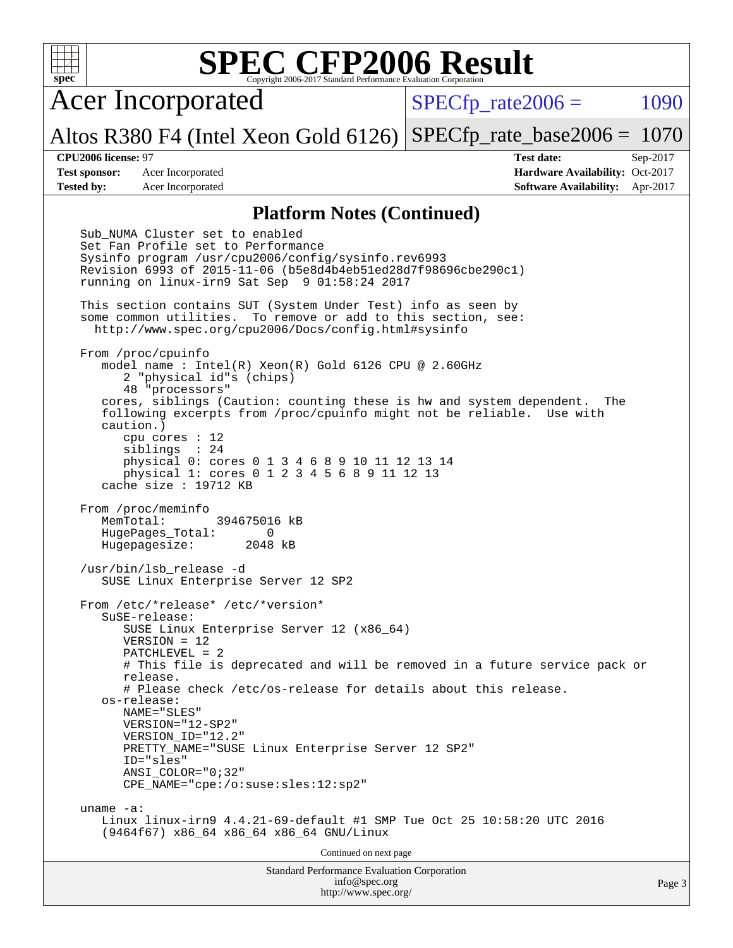| ÷<br>7 |  |  |  |  |  |
|--------|--|--|--|--|--|

Acer Incorporated

 $SPECTp\_rate2006 = 1090$ 

Altos R380 F4 (Intel Xeon Gold 6126) [SPECfp\\_rate\\_base2006 =](http://www.spec.org/auto/cpu2006/Docs/result-fields.html#SPECfpratebase2006) 1070

**[CPU2006 license:](http://www.spec.org/auto/cpu2006/Docs/result-fields.html#CPU2006license)** 97 **[Test date:](http://www.spec.org/auto/cpu2006/Docs/result-fields.html#Testdate)** Sep-2017 **[Test sponsor:](http://www.spec.org/auto/cpu2006/Docs/result-fields.html#Testsponsor)** Acer Incorporated **Acceleration Availability:** Oct-2017 **[Tested by:](http://www.spec.org/auto/cpu2006/Docs/result-fields.html#Testedby)** Acer Incorporated **[Software Availability:](http://www.spec.org/auto/cpu2006/Docs/result-fields.html#SoftwareAvailability)** Apr-2017

### **[Platform Notes \(Continued\)](http://www.spec.org/auto/cpu2006/Docs/result-fields.html#PlatformNotes)**

Standard Performance Evaluation Corporation [info@spec.org](mailto:info@spec.org) Sub NUMA Cluster set to enabled Set Fan Profile set to Performance Sysinfo program /usr/cpu2006/config/sysinfo.rev6993 Revision 6993 of 2015-11-06 (b5e8d4b4eb51ed28d7f98696cbe290c1) running on linux-irn9 Sat Sep 9 01:58:24 2017 This section contains SUT (System Under Test) info as seen by some common utilities. To remove or add to this section, see: <http://www.spec.org/cpu2006/Docs/config.html#sysinfo> From /proc/cpuinfo model name : Intel(R) Xeon(R) Gold 6126 CPU @ 2.60GHz 2 "physical id"s (chips) 48 "processors" cores, siblings (Caution: counting these is hw and system dependent. The following excerpts from /proc/cpuinfo might not be reliable. Use with caution.) cpu cores : 12 siblings : 24 physical 0: cores 0 1 3 4 6 8 9 10 11 12 13 14 physical 1: cores 0 1 2 3 4 5 6 8 9 11 12 13 cache size : 19712 KB From /proc/meminfo MemTotal: 394675016 kB HugePages\_Total: 0 Hugepagesize: 2048 kB /usr/bin/lsb\_release -d SUSE Linux Enterprise Server 12 SP2 From /etc/\*release\* /etc/\*version\* SuSE-release: SUSE Linux Enterprise Server 12 (x86\_64) VERSION = 12 PATCHLEVEL = 2 # This file is deprecated and will be removed in a future service pack or release. # Please check /etc/os-release for details about this release. os-release: NAME="SLES" VERSION="12-SP2" VERSION\_ID="12.2" PRETTY NAME="SUSE Linux Enterprise Server 12 SP2" ID="sles" ANSI\_COLOR="0;32" CPE\_NAME="cpe:/o:suse:sles:12:sp2" uname -a: Linux linux-irn9 4.4.21-69-default #1 SMP Tue Oct 25 10:58:20 UTC 2016 (9464f67) x86\_64 x86\_64 x86\_64 GNU/Linux Continued on next page

<http://www.spec.org/>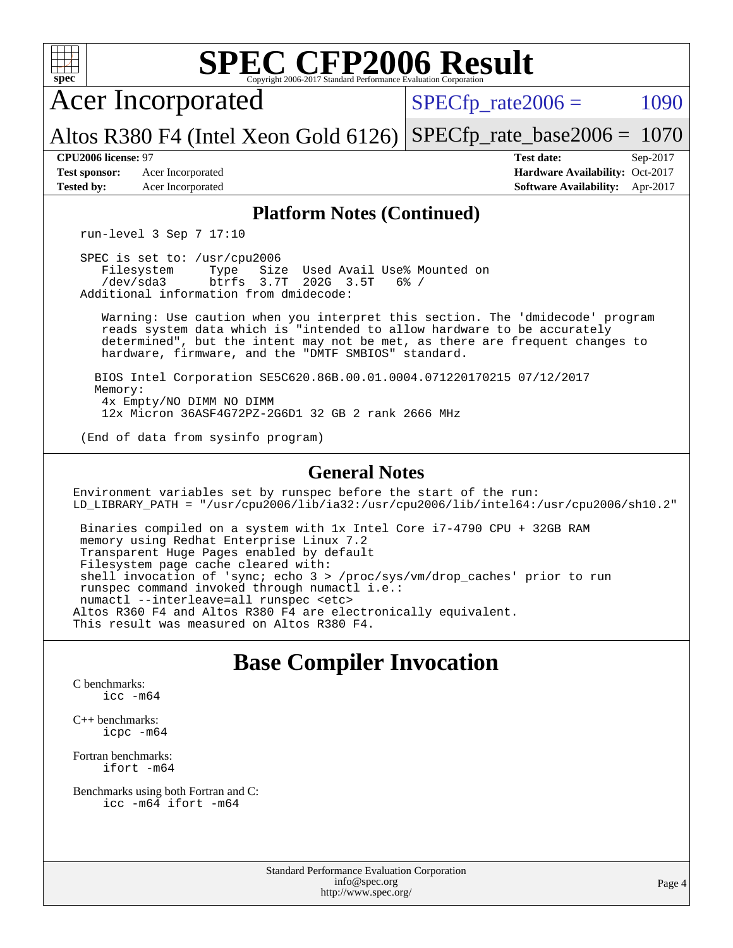

[icpc -m64](http://www.spec.org/cpu2006/results/res2017q4/cpu2006-20170918-49397.flags.html#user_CXXbase_intel_icpc_64bit_fc66a5337ce925472a5c54ad6a0de310)

[Fortran benchmarks](http://www.spec.org/auto/cpu2006/Docs/result-fields.html#Fortranbenchmarks): [ifort -m64](http://www.spec.org/cpu2006/results/res2017q4/cpu2006-20170918-49397.flags.html#user_FCbase_intel_ifort_64bit_ee9d0fb25645d0210d97eb0527dcc06e)

[Benchmarks using both Fortran and C](http://www.spec.org/auto/cpu2006/Docs/result-fields.html#BenchmarksusingbothFortranandC): [icc -m64](http://www.spec.org/cpu2006/results/res2017q4/cpu2006-20170918-49397.flags.html#user_CC_FCbase_intel_icc_64bit_bda6cc9af1fdbb0edc3795bac97ada53) [ifort -m64](http://www.spec.org/cpu2006/results/res2017q4/cpu2006-20170918-49397.flags.html#user_CC_FCbase_intel_ifort_64bit_ee9d0fb25645d0210d97eb0527dcc06e)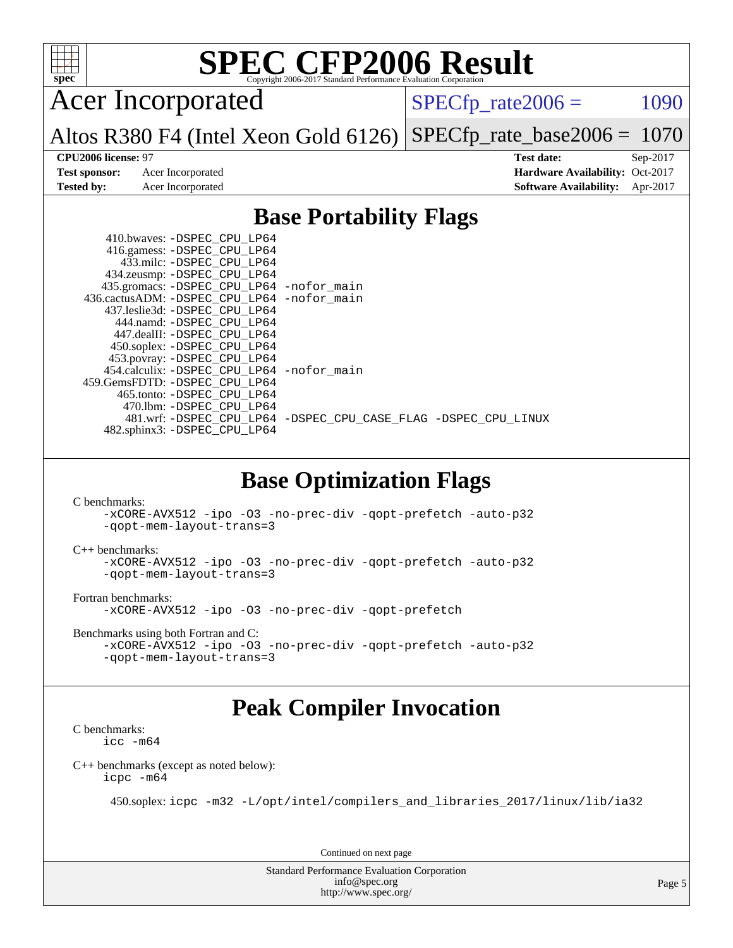

Acer Incorporated

 $SPECTp_rate2006 = 1090$ 

Altos R380 F4 (Intel Xeon Gold 6126) [SPECfp\\_rate\\_base2006 =](http://www.spec.org/auto/cpu2006/Docs/result-fields.html#SPECfpratebase2006) 1070

**[CPU2006 license:](http://www.spec.org/auto/cpu2006/Docs/result-fields.html#CPU2006license)** 97 **[Test date:](http://www.spec.org/auto/cpu2006/Docs/result-fields.html#Testdate)** Sep-2017 **[Test sponsor:](http://www.spec.org/auto/cpu2006/Docs/result-fields.html#Testsponsor)** Acer Incorporated **Acceleration Availability:** Oct-2017 **[Tested by:](http://www.spec.org/auto/cpu2006/Docs/result-fields.html#Testedby)** Acer Incorporated **[Software Availability:](http://www.spec.org/auto/cpu2006/Docs/result-fields.html#SoftwareAvailability)** Apr-2017

## **[Base Portability Flags](http://www.spec.org/auto/cpu2006/Docs/result-fields.html#BasePortabilityFlags)**

| 410.bwaves: -DSPEC CPU LP64<br>416.gamess: -DSPEC_CPU_LP64 |                                                                |
|------------------------------------------------------------|----------------------------------------------------------------|
| 433.milc: -DSPEC CPU LP64                                  |                                                                |
| 434.zeusmp: -DSPEC_CPU_LP64                                |                                                                |
| 435.gromacs: -DSPEC_CPU_LP64 -nofor_main                   |                                                                |
| 436.cactusADM: - DSPEC CPU LP64 - nofor main               |                                                                |
| 437.leslie3d: -DSPEC CPU LP64                              |                                                                |
| 444.namd: -DSPEC CPU LP64                                  |                                                                |
| 447.dealII: -DSPEC CPU LP64                                |                                                                |
| 450.soplex: -DSPEC CPU LP64                                |                                                                |
| 453.povray: -DSPEC_CPU_LP64                                |                                                                |
| 454.calculix: - DSPEC CPU LP64 - nofor main                |                                                                |
| 459. GemsFDTD: - DSPEC CPU LP64                            |                                                                |
| 465.tonto: -DSPEC CPU LP64                                 |                                                                |
| 470.1bm: - DSPEC CPU LP64                                  |                                                                |
|                                                            | 481.wrf: -DSPEC CPU_LP64 -DSPEC_CPU_CASE_FLAG -DSPEC_CPU_LINUX |
| 482.sphinx3: -DSPEC_CPU_LP64                               |                                                                |

## **[Base Optimization Flags](http://www.spec.org/auto/cpu2006/Docs/result-fields.html#BaseOptimizationFlags)**

[C benchmarks](http://www.spec.org/auto/cpu2006/Docs/result-fields.html#Cbenchmarks):

[-xCORE-AVX512](http://www.spec.org/cpu2006/results/res2017q4/cpu2006-20170918-49397.flags.html#user_CCbase_f-xCORE-AVX512) [-ipo](http://www.spec.org/cpu2006/results/res2017q4/cpu2006-20170918-49397.flags.html#user_CCbase_f-ipo) [-O3](http://www.spec.org/cpu2006/results/res2017q4/cpu2006-20170918-49397.flags.html#user_CCbase_f-O3) [-no-prec-div](http://www.spec.org/cpu2006/results/res2017q4/cpu2006-20170918-49397.flags.html#user_CCbase_f-no-prec-div) [-qopt-prefetch](http://www.spec.org/cpu2006/results/res2017q4/cpu2006-20170918-49397.flags.html#user_CCbase_f-qopt-prefetch) [-auto-p32](http://www.spec.org/cpu2006/results/res2017q4/cpu2006-20170918-49397.flags.html#user_CCbase_f-auto-p32) [-qopt-mem-layout-trans=3](http://www.spec.org/cpu2006/results/res2017q4/cpu2006-20170918-49397.flags.html#user_CCbase_f-qopt-mem-layout-trans_170f5be61cd2cedc9b54468c59262d5d)

[C++ benchmarks:](http://www.spec.org/auto/cpu2006/Docs/result-fields.html#CXXbenchmarks)

[-xCORE-AVX512](http://www.spec.org/cpu2006/results/res2017q4/cpu2006-20170918-49397.flags.html#user_CXXbase_f-xCORE-AVX512) [-ipo](http://www.spec.org/cpu2006/results/res2017q4/cpu2006-20170918-49397.flags.html#user_CXXbase_f-ipo) [-O3](http://www.spec.org/cpu2006/results/res2017q4/cpu2006-20170918-49397.flags.html#user_CXXbase_f-O3) [-no-prec-div](http://www.spec.org/cpu2006/results/res2017q4/cpu2006-20170918-49397.flags.html#user_CXXbase_f-no-prec-div) [-qopt-prefetch](http://www.spec.org/cpu2006/results/res2017q4/cpu2006-20170918-49397.flags.html#user_CXXbase_f-qopt-prefetch) [-auto-p32](http://www.spec.org/cpu2006/results/res2017q4/cpu2006-20170918-49397.flags.html#user_CXXbase_f-auto-p32) [-qopt-mem-layout-trans=3](http://www.spec.org/cpu2006/results/res2017q4/cpu2006-20170918-49397.flags.html#user_CXXbase_f-qopt-mem-layout-trans_170f5be61cd2cedc9b54468c59262d5d)

[Fortran benchmarks](http://www.spec.org/auto/cpu2006/Docs/result-fields.html#Fortranbenchmarks):

[-xCORE-AVX512](http://www.spec.org/cpu2006/results/res2017q4/cpu2006-20170918-49397.flags.html#user_FCbase_f-xCORE-AVX512) [-ipo](http://www.spec.org/cpu2006/results/res2017q4/cpu2006-20170918-49397.flags.html#user_FCbase_f-ipo) [-O3](http://www.spec.org/cpu2006/results/res2017q4/cpu2006-20170918-49397.flags.html#user_FCbase_f-O3) [-no-prec-div](http://www.spec.org/cpu2006/results/res2017q4/cpu2006-20170918-49397.flags.html#user_FCbase_f-no-prec-div) [-qopt-prefetch](http://www.spec.org/cpu2006/results/res2017q4/cpu2006-20170918-49397.flags.html#user_FCbase_f-qopt-prefetch)

[Benchmarks using both Fortran and C](http://www.spec.org/auto/cpu2006/Docs/result-fields.html#BenchmarksusingbothFortranandC):

[-xCORE-AVX512](http://www.spec.org/cpu2006/results/res2017q4/cpu2006-20170918-49397.flags.html#user_CC_FCbase_f-xCORE-AVX512) [-ipo](http://www.spec.org/cpu2006/results/res2017q4/cpu2006-20170918-49397.flags.html#user_CC_FCbase_f-ipo) [-O3](http://www.spec.org/cpu2006/results/res2017q4/cpu2006-20170918-49397.flags.html#user_CC_FCbase_f-O3) [-no-prec-div](http://www.spec.org/cpu2006/results/res2017q4/cpu2006-20170918-49397.flags.html#user_CC_FCbase_f-no-prec-div) [-qopt-prefetch](http://www.spec.org/cpu2006/results/res2017q4/cpu2006-20170918-49397.flags.html#user_CC_FCbase_f-qopt-prefetch) [-auto-p32](http://www.spec.org/cpu2006/results/res2017q4/cpu2006-20170918-49397.flags.html#user_CC_FCbase_f-auto-p32) [-qopt-mem-layout-trans=3](http://www.spec.org/cpu2006/results/res2017q4/cpu2006-20170918-49397.flags.html#user_CC_FCbase_f-qopt-mem-layout-trans_170f5be61cd2cedc9b54468c59262d5d)

## **[Peak Compiler Invocation](http://www.spec.org/auto/cpu2006/Docs/result-fields.html#PeakCompilerInvocation)**

[C benchmarks](http://www.spec.org/auto/cpu2006/Docs/result-fields.html#Cbenchmarks): [icc -m64](http://www.spec.org/cpu2006/results/res2017q4/cpu2006-20170918-49397.flags.html#user_CCpeak_intel_icc_64bit_bda6cc9af1fdbb0edc3795bac97ada53)

[C++ benchmarks \(except as noted below\):](http://www.spec.org/auto/cpu2006/Docs/result-fields.html#CXXbenchmarksexceptasnotedbelow) [icpc -m64](http://www.spec.org/cpu2006/results/res2017q4/cpu2006-20170918-49397.flags.html#user_CXXpeak_intel_icpc_64bit_fc66a5337ce925472a5c54ad6a0de310)

450.soplex: [icpc -m32 -L/opt/intel/compilers\\_and\\_libraries\\_2017/linux/lib/ia32](http://www.spec.org/cpu2006/results/res2017q4/cpu2006-20170918-49397.flags.html#user_peakCXXLD450_soplex_intel_icpc_8c35c7808b62dab9ae41a1aa06361b6b)

Continued on next page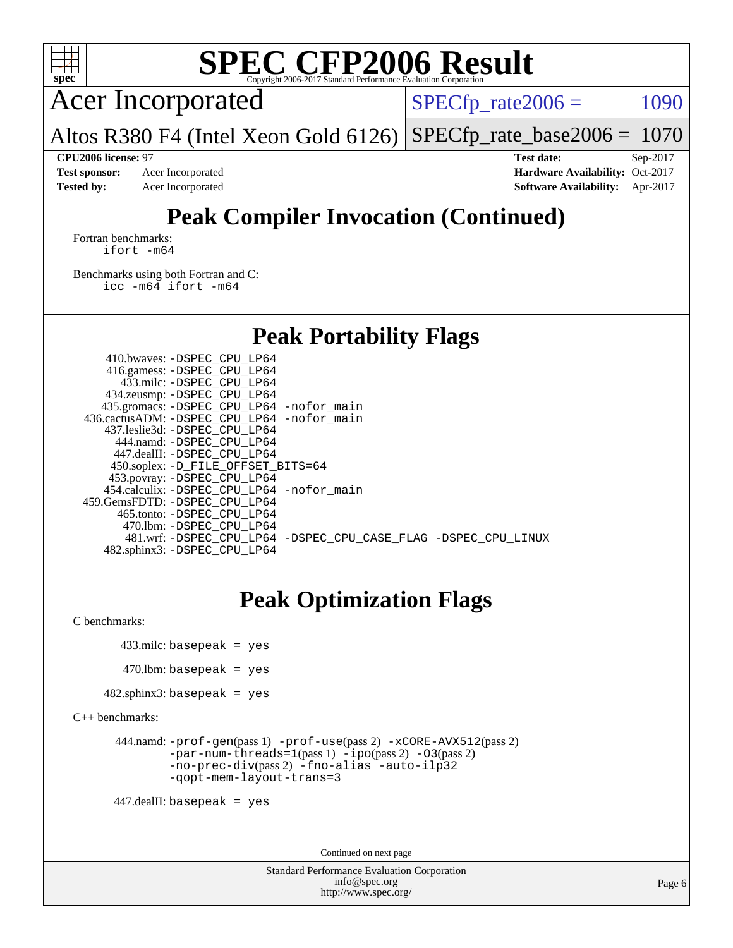

Acer Incorporated

 $SPECTp\_rate2006 = 1090$ 

Altos R380 F4 (Intel Xeon Gold 6126) [SPECfp\\_rate\\_base2006 =](http://www.spec.org/auto/cpu2006/Docs/result-fields.html#SPECfpratebase2006)  $1070$ 

**[Test sponsor:](http://www.spec.org/auto/cpu2006/Docs/result-fields.html#Testsponsor)** Acer Incorporated **Acceleration Availability:** Oct-2017

**[CPU2006 license:](http://www.spec.org/auto/cpu2006/Docs/result-fields.html#CPU2006license)** 97 **[Test date:](http://www.spec.org/auto/cpu2006/Docs/result-fields.html#Testdate)** Sep-2017 **[Tested by:](http://www.spec.org/auto/cpu2006/Docs/result-fields.html#Testedby)** Acer Incorporated **[Software Availability:](http://www.spec.org/auto/cpu2006/Docs/result-fields.html#SoftwareAvailability)** Apr-2017

## **[Peak Compiler Invocation \(Continued\)](http://www.spec.org/auto/cpu2006/Docs/result-fields.html#PeakCompilerInvocation)**

[Fortran benchmarks](http://www.spec.org/auto/cpu2006/Docs/result-fields.html#Fortranbenchmarks): [ifort -m64](http://www.spec.org/cpu2006/results/res2017q4/cpu2006-20170918-49397.flags.html#user_FCpeak_intel_ifort_64bit_ee9d0fb25645d0210d97eb0527dcc06e)

[Benchmarks using both Fortran and C](http://www.spec.org/auto/cpu2006/Docs/result-fields.html#BenchmarksusingbothFortranandC): [icc -m64](http://www.spec.org/cpu2006/results/res2017q4/cpu2006-20170918-49397.flags.html#user_CC_FCpeak_intel_icc_64bit_bda6cc9af1fdbb0edc3795bac97ada53) [ifort -m64](http://www.spec.org/cpu2006/results/res2017q4/cpu2006-20170918-49397.flags.html#user_CC_FCpeak_intel_ifort_64bit_ee9d0fb25645d0210d97eb0527dcc06e)

## **[Peak Portability Flags](http://www.spec.org/auto/cpu2006/Docs/result-fields.html#PeakPortabilityFlags)**

 410.bwaves: [-DSPEC\\_CPU\\_LP64](http://www.spec.org/cpu2006/results/res2017q4/cpu2006-20170918-49397.flags.html#suite_peakPORTABILITY410_bwaves_DSPEC_CPU_LP64) 416.gamess: [-DSPEC\\_CPU\\_LP64](http://www.spec.org/cpu2006/results/res2017q4/cpu2006-20170918-49397.flags.html#suite_peakPORTABILITY416_gamess_DSPEC_CPU_LP64) 433.milc: [-DSPEC\\_CPU\\_LP64](http://www.spec.org/cpu2006/results/res2017q4/cpu2006-20170918-49397.flags.html#suite_peakPORTABILITY433_milc_DSPEC_CPU_LP64) 434.zeusmp: [-DSPEC\\_CPU\\_LP64](http://www.spec.org/cpu2006/results/res2017q4/cpu2006-20170918-49397.flags.html#suite_peakPORTABILITY434_zeusmp_DSPEC_CPU_LP64) 435.gromacs: [-DSPEC\\_CPU\\_LP64](http://www.spec.org/cpu2006/results/res2017q4/cpu2006-20170918-49397.flags.html#suite_peakPORTABILITY435_gromacs_DSPEC_CPU_LP64) [-nofor\\_main](http://www.spec.org/cpu2006/results/res2017q4/cpu2006-20170918-49397.flags.html#user_peakLDPORTABILITY435_gromacs_f-nofor_main) 436.cactusADM: [-DSPEC\\_CPU\\_LP64](http://www.spec.org/cpu2006/results/res2017q4/cpu2006-20170918-49397.flags.html#suite_peakPORTABILITY436_cactusADM_DSPEC_CPU_LP64) [-nofor\\_main](http://www.spec.org/cpu2006/results/res2017q4/cpu2006-20170918-49397.flags.html#user_peakLDPORTABILITY436_cactusADM_f-nofor_main) 437.leslie3d: [-DSPEC\\_CPU\\_LP64](http://www.spec.org/cpu2006/results/res2017q4/cpu2006-20170918-49397.flags.html#suite_peakPORTABILITY437_leslie3d_DSPEC_CPU_LP64) 444.namd: [-DSPEC\\_CPU\\_LP64](http://www.spec.org/cpu2006/results/res2017q4/cpu2006-20170918-49397.flags.html#suite_peakPORTABILITY444_namd_DSPEC_CPU_LP64) 447.dealII: [-DSPEC\\_CPU\\_LP64](http://www.spec.org/cpu2006/results/res2017q4/cpu2006-20170918-49397.flags.html#suite_peakPORTABILITY447_dealII_DSPEC_CPU_LP64) 450.soplex: [-D\\_FILE\\_OFFSET\\_BITS=64](http://www.spec.org/cpu2006/results/res2017q4/cpu2006-20170918-49397.flags.html#user_peakPORTABILITY450_soplex_file_offset_bits_64_438cf9856305ebd76870a2c6dc2689ab) 453.povray: [-DSPEC\\_CPU\\_LP64](http://www.spec.org/cpu2006/results/res2017q4/cpu2006-20170918-49397.flags.html#suite_peakPORTABILITY453_povray_DSPEC_CPU_LP64) 454.calculix: [-DSPEC\\_CPU\\_LP64](http://www.spec.org/cpu2006/results/res2017q4/cpu2006-20170918-49397.flags.html#suite_peakPORTABILITY454_calculix_DSPEC_CPU_LP64) [-nofor\\_main](http://www.spec.org/cpu2006/results/res2017q4/cpu2006-20170918-49397.flags.html#user_peakLDPORTABILITY454_calculix_f-nofor_main) 459.GemsFDTD: [-DSPEC\\_CPU\\_LP64](http://www.spec.org/cpu2006/results/res2017q4/cpu2006-20170918-49397.flags.html#suite_peakPORTABILITY459_GemsFDTD_DSPEC_CPU_LP64) 465.tonto: [-DSPEC\\_CPU\\_LP64](http://www.spec.org/cpu2006/results/res2017q4/cpu2006-20170918-49397.flags.html#suite_peakPORTABILITY465_tonto_DSPEC_CPU_LP64) 470.lbm: [-DSPEC\\_CPU\\_LP64](http://www.spec.org/cpu2006/results/res2017q4/cpu2006-20170918-49397.flags.html#suite_peakPORTABILITY470_lbm_DSPEC_CPU_LP64) 481.wrf: [-DSPEC\\_CPU\\_LP64](http://www.spec.org/cpu2006/results/res2017q4/cpu2006-20170918-49397.flags.html#suite_peakPORTABILITY481_wrf_DSPEC_CPU_LP64) [-DSPEC\\_CPU\\_CASE\\_FLAG](http://www.spec.org/cpu2006/results/res2017q4/cpu2006-20170918-49397.flags.html#b481.wrf_peakCPORTABILITY_DSPEC_CPU_CASE_FLAG) [-DSPEC\\_CPU\\_LINUX](http://www.spec.org/cpu2006/results/res2017q4/cpu2006-20170918-49397.flags.html#b481.wrf_peakCPORTABILITY_DSPEC_CPU_LINUX) 482.sphinx3: [-DSPEC\\_CPU\\_LP64](http://www.spec.org/cpu2006/results/res2017q4/cpu2006-20170918-49397.flags.html#suite_peakPORTABILITY482_sphinx3_DSPEC_CPU_LP64)

## **[Peak Optimization Flags](http://www.spec.org/auto/cpu2006/Docs/result-fields.html#PeakOptimizationFlags)**

[C benchmarks](http://www.spec.org/auto/cpu2006/Docs/result-fields.html#Cbenchmarks):

433.milc: basepeak = yes

```
470.lbm: basepeak = yes
```
 $482$ .sphinx3: basepeak = yes

[C++ benchmarks:](http://www.spec.org/auto/cpu2006/Docs/result-fields.html#CXXbenchmarks)

```
 444.namd: -prof-gen(pass 1) -prof-use(pass 2) -xCORE-AVX512(pass 2)
-par-num-threads=1(pass 1) -ipo(pass 2) -O3(pass 2)
-no-prec-div(pass 2) -fno-alias -auto-ilp32
-qopt-mem-layout-trans=3
```
447.dealII: basepeak = yes

Continued on next page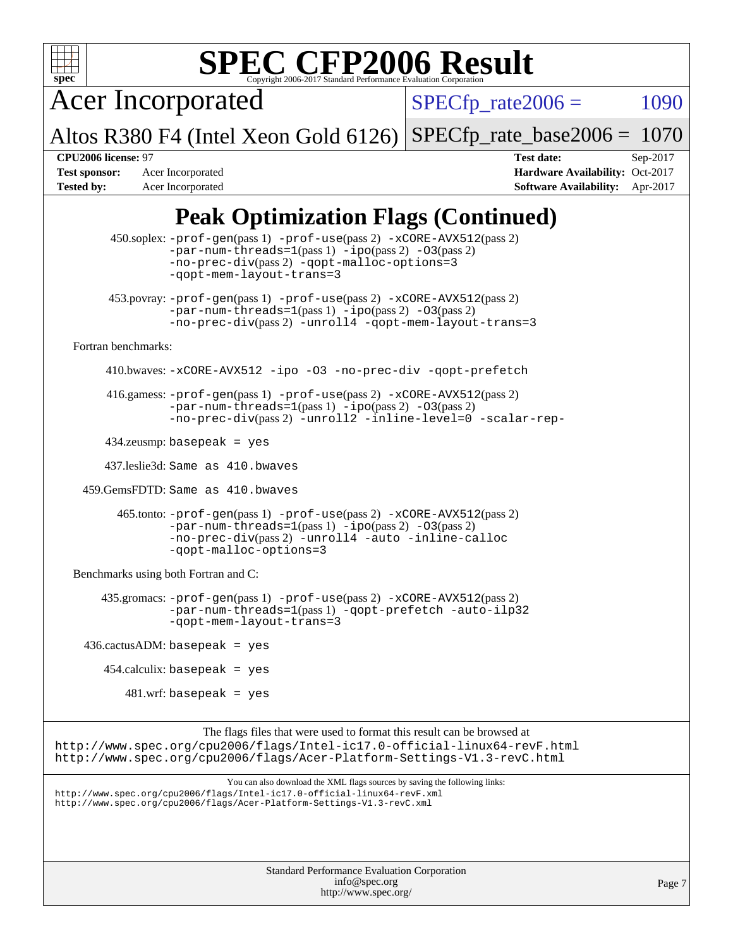

Acer Incorporated

 $SPECTp\_rate2006 = 1090$ 

Altos R380 F4 (Intel Xeon Gold 6126) [SPECfp\\_rate\\_base2006 =](http://www.spec.org/auto/cpu2006/Docs/result-fields.html#SPECfpratebase2006) 1070

**[Test sponsor:](http://www.spec.org/auto/cpu2006/Docs/result-fields.html#Testsponsor)** Acer Incorporated **Acceleration Availability:** Oct-2017 **[Tested by:](http://www.spec.org/auto/cpu2006/Docs/result-fields.html#Testedby)** Acer Incorporated **[Software Availability:](http://www.spec.org/auto/cpu2006/Docs/result-fields.html#SoftwareAvailability)** Apr-2017

**[CPU2006 license:](http://www.spec.org/auto/cpu2006/Docs/result-fields.html#CPU2006license)** 97 **[Test date:](http://www.spec.org/auto/cpu2006/Docs/result-fields.html#Testdate)** Sep-2017

## **[Peak Optimization Flags \(Continued\)](http://www.spec.org/auto/cpu2006/Docs/result-fields.html#PeakOptimizationFlags)**

Standard Performance Evaluation Corporation [info@spec.org](mailto:info@spec.org) 450.soplex: [-prof-gen](http://www.spec.org/cpu2006/results/res2017q4/cpu2006-20170918-49397.flags.html#user_peakPASS1_CXXFLAGSPASS1_LDFLAGS450_soplex_prof_gen_e43856698f6ca7b7e442dfd80e94a8fc)(pass 1) [-prof-use](http://www.spec.org/cpu2006/results/res2017q4/cpu2006-20170918-49397.flags.html#user_peakPASS2_CXXFLAGSPASS2_LDFLAGS450_soplex_prof_use_bccf7792157ff70d64e32fe3e1250b55)(pass 2) [-xCORE-AVX512](http://www.spec.org/cpu2006/results/res2017q4/cpu2006-20170918-49397.flags.html#user_peakPASS2_CXXFLAGSPASS2_LDFLAGS450_soplex_f-xCORE-AVX512)(pass 2) [-par-num-threads=1](http://www.spec.org/cpu2006/results/res2017q4/cpu2006-20170918-49397.flags.html#user_peakPASS1_CXXFLAGSPASS1_LDFLAGS450_soplex_par_num_threads_786a6ff141b4e9e90432e998842df6c2)(pass 1) [-ipo](http://www.spec.org/cpu2006/results/res2017q4/cpu2006-20170918-49397.flags.html#user_peakPASS2_CXXFLAGSPASS2_LDFLAGS450_soplex_f-ipo)(pass 2) [-O3](http://www.spec.org/cpu2006/results/res2017q4/cpu2006-20170918-49397.flags.html#user_peakPASS2_CXXFLAGSPASS2_LDFLAGS450_soplex_f-O3)(pass 2) [-no-prec-div](http://www.spec.org/cpu2006/results/res2017q4/cpu2006-20170918-49397.flags.html#user_peakPASS2_CXXFLAGSPASS2_LDFLAGS450_soplex_f-no-prec-div)(pass 2) [-qopt-malloc-options=3](http://www.spec.org/cpu2006/results/res2017q4/cpu2006-20170918-49397.flags.html#user_peakOPTIMIZE450_soplex_f-qopt-malloc-options_0fcb435012e78f27d57f473818e45fe4) [-qopt-mem-layout-trans=3](http://www.spec.org/cpu2006/results/res2017q4/cpu2006-20170918-49397.flags.html#user_peakCXXOPTIMIZE450_soplex_f-qopt-mem-layout-trans_170f5be61cd2cedc9b54468c59262d5d) 453.povray: [-prof-gen](http://www.spec.org/cpu2006/results/res2017q4/cpu2006-20170918-49397.flags.html#user_peakPASS1_CXXFLAGSPASS1_LDFLAGS453_povray_prof_gen_e43856698f6ca7b7e442dfd80e94a8fc)(pass 1) [-prof-use](http://www.spec.org/cpu2006/results/res2017q4/cpu2006-20170918-49397.flags.html#user_peakPASS2_CXXFLAGSPASS2_LDFLAGS453_povray_prof_use_bccf7792157ff70d64e32fe3e1250b55)(pass 2) [-xCORE-AVX512](http://www.spec.org/cpu2006/results/res2017q4/cpu2006-20170918-49397.flags.html#user_peakPASS2_CXXFLAGSPASS2_LDFLAGS453_povray_f-xCORE-AVX512)(pass 2)  $-par-num-threads=1(pass 1) -ipo(pass 2) -O3(pass 2)$  $-par-num-threads=1(pass 1) -ipo(pass 2) -O3(pass 2)$  $-par-num-threads=1(pass 1) -ipo(pass 2) -O3(pass 2)$  $-par-num-threads=1(pass 1) -ipo(pass 2) -O3(pass 2)$  $-par-num-threads=1(pass 1) -ipo(pass 2) -O3(pass 2)$  $-par-num-threads=1(pass 1) -ipo(pass 2) -O3(pass 2)$ [-no-prec-div](http://www.spec.org/cpu2006/results/res2017q4/cpu2006-20170918-49397.flags.html#user_peakPASS2_CXXFLAGSPASS2_LDFLAGS453_povray_f-no-prec-div)(pass 2) [-unroll4](http://www.spec.org/cpu2006/results/res2017q4/cpu2006-20170918-49397.flags.html#user_peakCXXOPTIMIZE453_povray_f-unroll_4e5e4ed65b7fd20bdcd365bec371b81f) [-qopt-mem-layout-trans=3](http://www.spec.org/cpu2006/results/res2017q4/cpu2006-20170918-49397.flags.html#user_peakCXXOPTIMIZE453_povray_f-qopt-mem-layout-trans_170f5be61cd2cedc9b54468c59262d5d) [Fortran benchmarks](http://www.spec.org/auto/cpu2006/Docs/result-fields.html#Fortranbenchmarks): 410.bwaves: [-xCORE-AVX512](http://www.spec.org/cpu2006/results/res2017q4/cpu2006-20170918-49397.flags.html#user_peakOPTIMIZE410_bwaves_f-xCORE-AVX512) [-ipo](http://www.spec.org/cpu2006/results/res2017q4/cpu2006-20170918-49397.flags.html#user_peakOPTIMIZE410_bwaves_f-ipo) [-O3](http://www.spec.org/cpu2006/results/res2017q4/cpu2006-20170918-49397.flags.html#user_peakOPTIMIZE410_bwaves_f-O3) [-no-prec-div](http://www.spec.org/cpu2006/results/res2017q4/cpu2006-20170918-49397.flags.html#user_peakOPTIMIZE410_bwaves_f-no-prec-div) [-qopt-prefetch](http://www.spec.org/cpu2006/results/res2017q4/cpu2006-20170918-49397.flags.html#user_peakOPTIMIZE410_bwaves_f-qopt-prefetch) 416.gamess: [-prof-gen](http://www.spec.org/cpu2006/results/res2017q4/cpu2006-20170918-49397.flags.html#user_peakPASS1_FFLAGSPASS1_LDFLAGS416_gamess_prof_gen_e43856698f6ca7b7e442dfd80e94a8fc)(pass 1) [-prof-use](http://www.spec.org/cpu2006/results/res2017q4/cpu2006-20170918-49397.flags.html#user_peakPASS2_FFLAGSPASS2_LDFLAGS416_gamess_prof_use_bccf7792157ff70d64e32fe3e1250b55)(pass 2) [-xCORE-AVX512](http://www.spec.org/cpu2006/results/res2017q4/cpu2006-20170918-49397.flags.html#user_peakPASS2_FFLAGSPASS2_LDFLAGS416_gamess_f-xCORE-AVX512)(pass 2)  $-$ par-num-threads=1(pass 1)  $-$ ipo(pass 2)  $-$ O3(pass 2) [-no-prec-div](http://www.spec.org/cpu2006/results/res2017q4/cpu2006-20170918-49397.flags.html#user_peakPASS2_FFLAGSPASS2_LDFLAGS416_gamess_f-no-prec-div)(pass 2) [-unroll2](http://www.spec.org/cpu2006/results/res2017q4/cpu2006-20170918-49397.flags.html#user_peakOPTIMIZE416_gamess_f-unroll_784dae83bebfb236979b41d2422d7ec2) [-inline-level=0](http://www.spec.org/cpu2006/results/res2017q4/cpu2006-20170918-49397.flags.html#user_peakOPTIMIZE416_gamess_f-inline-level_318d07a09274ad25e8d15dbfaa68ba50) [-scalar-rep-](http://www.spec.org/cpu2006/results/res2017q4/cpu2006-20170918-49397.flags.html#user_peakOPTIMIZE416_gamess_f-disablescalarrep_abbcad04450fb118e4809c81d83c8a1d) 434.zeusmp: basepeak = yes 437.leslie3d: Same as 410.bwaves 459.GemsFDTD: Same as 410.bwaves 465.tonto: [-prof-gen](http://www.spec.org/cpu2006/results/res2017q4/cpu2006-20170918-49397.flags.html#user_peakPASS1_FFLAGSPASS1_LDFLAGS465_tonto_prof_gen_e43856698f6ca7b7e442dfd80e94a8fc)(pass 1) [-prof-use](http://www.spec.org/cpu2006/results/res2017q4/cpu2006-20170918-49397.flags.html#user_peakPASS2_FFLAGSPASS2_LDFLAGS465_tonto_prof_use_bccf7792157ff70d64e32fe3e1250b55)(pass 2) [-xCORE-AVX512](http://www.spec.org/cpu2006/results/res2017q4/cpu2006-20170918-49397.flags.html#user_peakPASS2_FFLAGSPASS2_LDFLAGS465_tonto_f-xCORE-AVX512)(pass 2) [-par-num-threads=1](http://www.spec.org/cpu2006/results/res2017q4/cpu2006-20170918-49397.flags.html#user_peakPASS1_FFLAGSPASS1_LDFLAGS465_tonto_par_num_threads_786a6ff141b4e9e90432e998842df6c2)(pass 1) [-ipo](http://www.spec.org/cpu2006/results/res2017q4/cpu2006-20170918-49397.flags.html#user_peakPASS2_FFLAGSPASS2_LDFLAGS465_tonto_f-ipo)(pass 2) [-O3](http://www.spec.org/cpu2006/results/res2017q4/cpu2006-20170918-49397.flags.html#user_peakPASS2_FFLAGSPASS2_LDFLAGS465_tonto_f-O3)(pass 2) [-no-prec-div](http://www.spec.org/cpu2006/results/res2017q4/cpu2006-20170918-49397.flags.html#user_peakPASS2_FFLAGSPASS2_LDFLAGS465_tonto_f-no-prec-div)(pass 2) [-unroll4](http://www.spec.org/cpu2006/results/res2017q4/cpu2006-20170918-49397.flags.html#user_peakOPTIMIZE465_tonto_f-unroll_4e5e4ed65b7fd20bdcd365bec371b81f) [-auto](http://www.spec.org/cpu2006/results/res2017q4/cpu2006-20170918-49397.flags.html#user_peakOPTIMIZE465_tonto_f-auto) [-inline-calloc](http://www.spec.org/cpu2006/results/res2017q4/cpu2006-20170918-49397.flags.html#user_peakOPTIMIZE465_tonto_f-inline-calloc) [-qopt-malloc-options=3](http://www.spec.org/cpu2006/results/res2017q4/cpu2006-20170918-49397.flags.html#user_peakOPTIMIZE465_tonto_f-qopt-malloc-options_0fcb435012e78f27d57f473818e45fe4) [Benchmarks using both Fortran and C](http://www.spec.org/auto/cpu2006/Docs/result-fields.html#BenchmarksusingbothFortranandC): 435.gromacs: [-prof-gen](http://www.spec.org/cpu2006/results/res2017q4/cpu2006-20170918-49397.flags.html#user_peakPASS1_CFLAGSPASS1_FFLAGSPASS1_LDFLAGS435_gromacs_prof_gen_e43856698f6ca7b7e442dfd80e94a8fc)(pass 1) [-prof-use](http://www.spec.org/cpu2006/results/res2017q4/cpu2006-20170918-49397.flags.html#user_peakPASS2_CFLAGSPASS2_FFLAGSPASS2_LDFLAGS435_gromacs_prof_use_bccf7792157ff70d64e32fe3e1250b55)(pass 2) [-xCORE-AVX512](http://www.spec.org/cpu2006/results/res2017q4/cpu2006-20170918-49397.flags.html#user_peakPASS2_CFLAGSPASS2_FFLAGSPASS2_LDFLAGS435_gromacs_f-xCORE-AVX512)(pass 2) [-par-num-threads=1](http://www.spec.org/cpu2006/results/res2017q4/cpu2006-20170918-49397.flags.html#user_peakPASS1_CFLAGSPASS1_FFLAGSPASS1_LDFLAGS435_gromacs_par_num_threads_786a6ff141b4e9e90432e998842df6c2)(pass 1) [-qopt-prefetch](http://www.spec.org/cpu2006/results/res2017q4/cpu2006-20170918-49397.flags.html#user_peakOPTIMIZE435_gromacs_f-qopt-prefetch) [-auto-ilp32](http://www.spec.org/cpu2006/results/res2017q4/cpu2006-20170918-49397.flags.html#user_peakCOPTIMIZE435_gromacs_f-auto-ilp32) [-qopt-mem-layout-trans=3](http://www.spec.org/cpu2006/results/res2017q4/cpu2006-20170918-49397.flags.html#user_peakCOPTIMIZE435_gromacs_f-qopt-mem-layout-trans_170f5be61cd2cedc9b54468c59262d5d)  $436.cactusADM: basepeak = yes$  $454$ .calculix: basepeak = yes  $481$ .wrf: basepeak = yes The flags files that were used to format this result can be browsed at <http://www.spec.org/cpu2006/flags/Intel-ic17.0-official-linux64-revF.html> <http://www.spec.org/cpu2006/flags/Acer-Platform-Settings-V1.3-revC.html> You can also download the XML flags sources by saving the following links: <http://www.spec.org/cpu2006/flags/Intel-ic17.0-official-linux64-revF.xml> <http://www.spec.org/cpu2006/flags/Acer-Platform-Settings-V1.3-revC.xml>

<http://www.spec.org/>